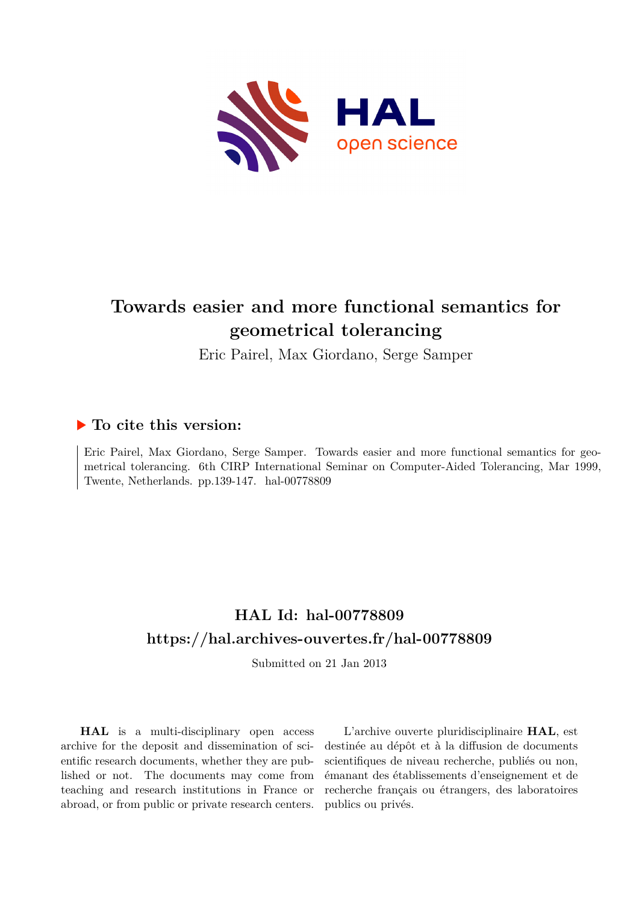

# **Towards easier and more functional semantics for geometrical tolerancing**

Eric Pairel, Max Giordano, Serge Samper

# **To cite this version:**

Eric Pairel, Max Giordano, Serge Samper. Towards easier and more functional semantics for geometrical tolerancing. 6th CIRP International Seminar on Computer-Aided Tolerancing, Mar 1999, Twente, Netherlands. pp.139-147. hal-00778809

# **HAL Id: hal-00778809 <https://hal.archives-ouvertes.fr/hal-00778809>**

Submitted on 21 Jan 2013

**HAL** is a multi-disciplinary open access archive for the deposit and dissemination of scientific research documents, whether they are published or not. The documents may come from teaching and research institutions in France or abroad, or from public or private research centers.

L'archive ouverte pluridisciplinaire **HAL**, est destinée au dépôt et à la diffusion de documents scientifiques de niveau recherche, publiés ou non, émanant des établissements d'enseignement et de recherche français ou étrangers, des laboratoires publics ou privés.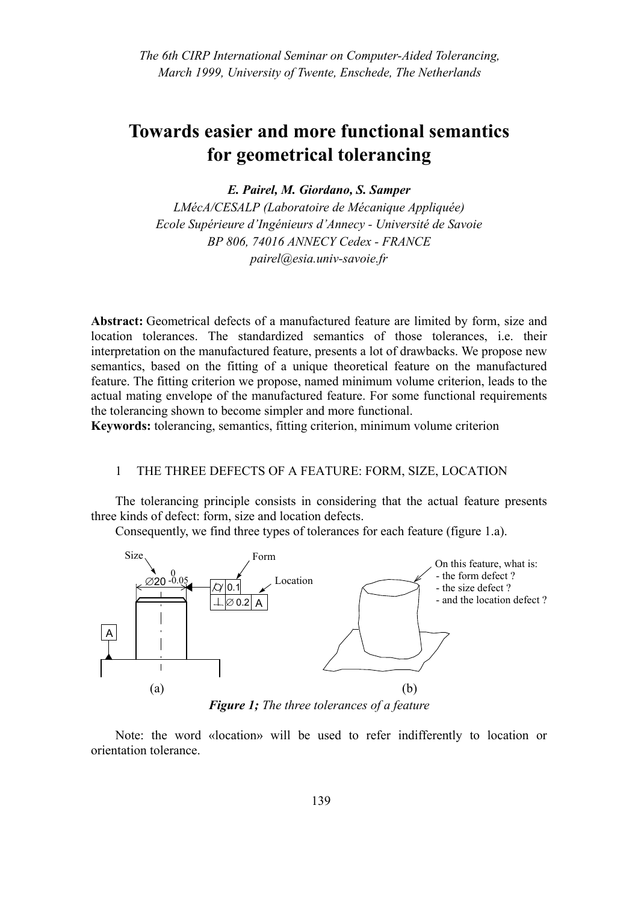# **Towards easier and more functional semantics for geometrical tolerancing**

*E. Pairel, M. Giordano, S. Samper*

*LMécA/CESALP (Laboratoire de Mécanique Appliquée) Ecole Supérieure d'Ingénieurs d'Annecy - Université de Savoie BP 806, 74016 ANNECY Cedex - FRANCE pairel@esia.univ-savoie.fr*

Abstract: Geometrical defects of a manufactured feature are limited by form, size and location tolerances. The standardized semantics of those tolerances, i.e. their interpretation on the manufactured feature, presents a lot of drawbacks. We propose new semantics, based on the fitting of a unique theoretical feature on the manufactured feature. The fitting criterion we propose, named minimum volume criterion, leads to the actual mating envelope of the manufactured feature. For some functional requirements the tolerancing shown to become simpler and more functional.

**Keywords:** tolerancing, semantics, fitting criterion, minimum volume criterion

### 1 THE THREE DEFECTS OF A FEATURE: FORM, SIZE, LOCATION

The tolerancing principle consists in considering that the actual feature presents three kinds of defect: form, size and location defects.

Consequently, we find three types of tolerances for each feature [\(figure 1.](#page-1-0)a).



<span id="page-1-0"></span>Note: the word «location» will be used to refer indifferently to location or orientation tolerance.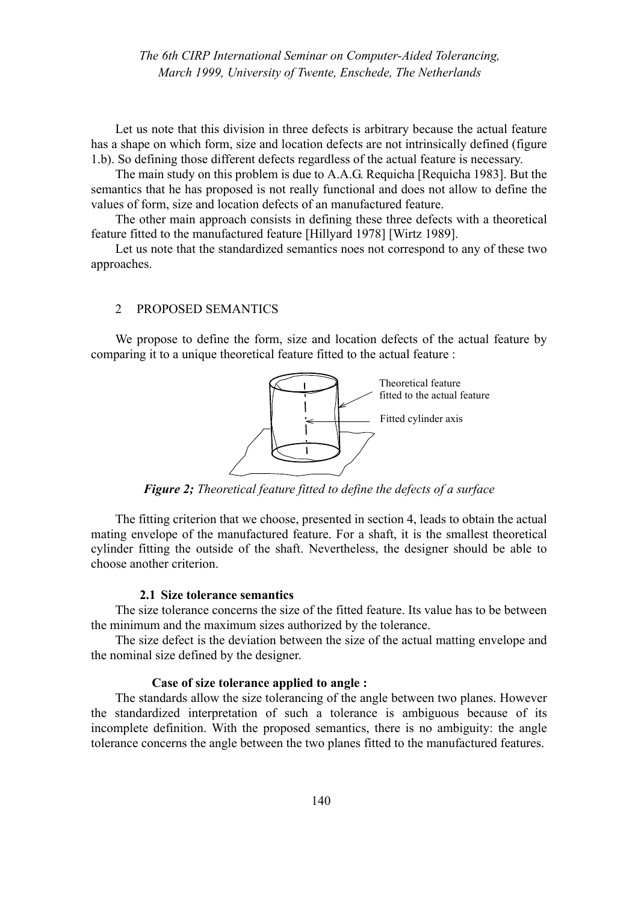Let us note that this division in three defects is arbitrary because the actual feature has a shape on which form, size and location defects are not intrinsically defined ([figure](#page-1-0) [1.](#page-1-0)b). So defining those different defects regardless of the actual feature is necessary.

The main study on this problem is due to A.A.G. Requicha [Requicha 1983]. But the semantics that he has proposed is not really functional and does not allow to define the values of form, size and location defects of an manufactured feature.

The other main approach consists in defining these three defects with a theoretical feature fitted to the manufactured feature [Hillyard 1978] [Wirtz 1989].

Let us note that the standardized semantics noes not correspond to any of these two approaches.

#### 2 PROPOSED SEMANTICS

We propose to define the form, size and location defects of the actual feature by comparing it to a unique theoretical feature fitted to the actual feature :



*Figure 2; Theoretical feature fitted to define the defects of a surface*

The fitting criterion that we choose, presented in section 4, leads to obtain the actual mating envelope of the manufactured feature. For a shaft, it is the smallest theoretical cylinder fitting the outside of the shaft. Nevertheless, the designer should be able to choose another criterion.

# **2.1 Size tolerance semantics**

The size tolerance concerns the size of the fitted feature. Its value has to be between the minimum and the maximum sizes authorized by the tolerance.

The size defect is the deviation between the size of the actual matting envelope and the nominal size defined by the designer.

#### **Case of size tolerance applied to angle :**

The standards allow the size tolerancing of the angle between two planes. However the standardized interpretation of such a tolerance is ambiguous because of its incomplete definition. With the proposed semantics, there is no ambiguity: the angle tolerance concerns the angle between the two planes fitted to the manufactured features.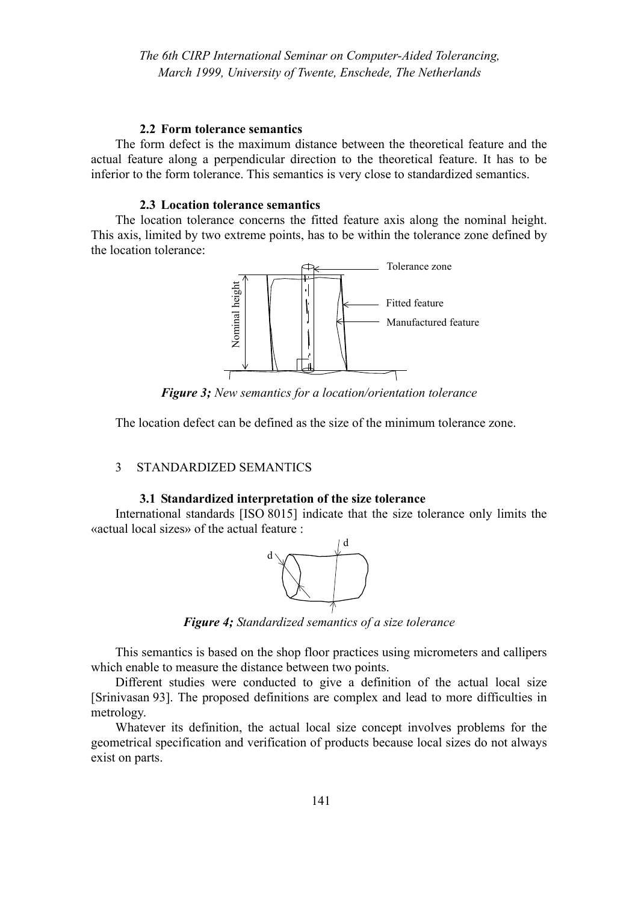#### **2.2 Form tolerance semantics**

The form defect is the maximum distance between the theoretical feature and the actual feature along a perpendicular direction to the theoretical feature. It has to be inferior to the form tolerance. This semantics is very close to standardized semantics.

# **2.3 Location tolerance semantics**

The location tolerance concerns the fitted feature axis along the nominal height. This axis, limited by two extreme points, has to be within the tolerance zone defined by the location tolerance:



*Figure 3; New semantics for a location/orientation tolerance*

The location defect can be defined as the size of the minimum tolerance zone.

# 3 STANDARDIZED SEMANTICS

# **3.1 Standardized interpretation of the size tolerance**

International standards [ISO 8015] indicate that the size tolerance only limits the «actual local sizes» of the actual feature :



*Figure 4; Standardized semantics of a size tolerance*

This semantics is based on the shop floor practices using micrometers and callipers which enable to measure the distance between two points.

Different studies were conducted to give a definition of the actual local size [Srinivasan 93]. The proposed definitions are complex and lead to more difficulties in metrology.

Whatever its definition, the actual local size concept involves problems for the geometrical specification and verification of products because local sizes do not always exist on parts.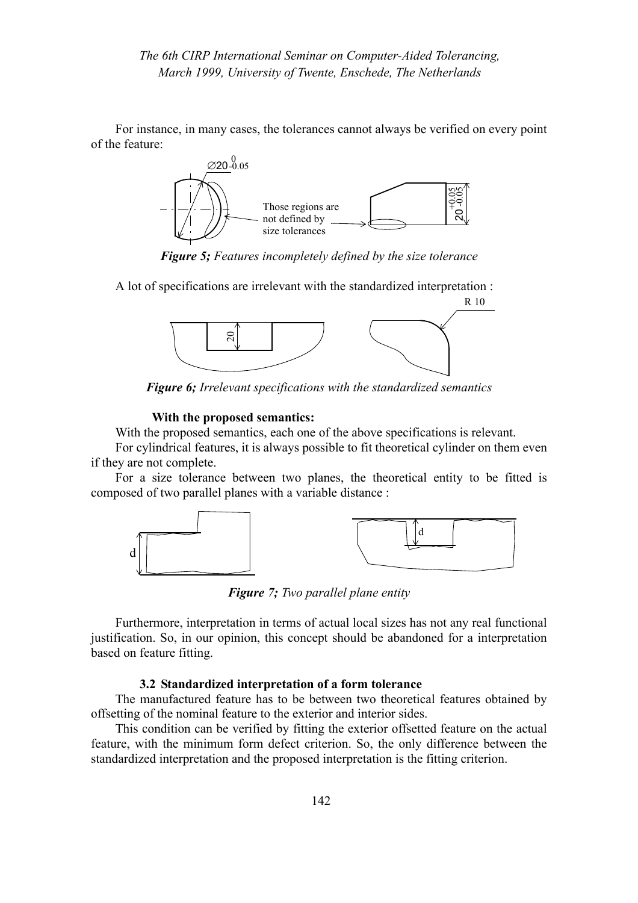For instance, in many cases, the tolerances cannot always be verified on every point of the feature:



*Figure 5; Features incompletely defined by the size tolerance*

A lot of specifications are irrelevant with the standardized interpretation :



*Figure 6; Irrelevant specifications with the standardized semantics*

#### **With the proposed semantics:**

With the proposed semantics, each one of the above specifications is relevant.

For cylindrical features, it is always possible to fit theoretical cylinder on them even if they are not complete.

For a size tolerance between two planes, the theoretical entity to be fitted is composed of two parallel planes with a variable distance :



*Figure 7; Two parallel plane entity*

Furthermore, interpretation in terms of actual local sizes has not any real functional justification. So, in our opinion, this concept should be abandoned for a interpretation based on feature fitting.

#### **3.2 Standardized interpretation of a form tolerance**

The manufactured feature has to be between two theoretical features obtained by offsetting of the nominal feature to the exterior and interior sides.

This condition can be verified by fitting the exterior offsetted feature on the actual feature, with the minimum form defect criterion. So, the only difference between the standardized interpretation and the proposed interpretation is the fitting criterion.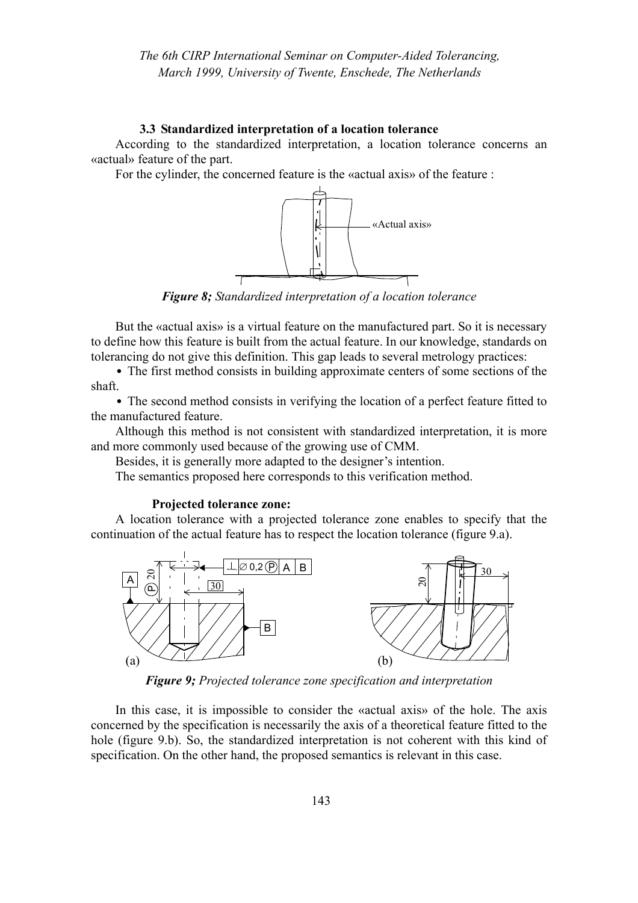### **3.3 Standardized interpretation of a location tolerance**

According to the standardized interpretation, a location tolerance concerns an «actual» feature of the part.

For the cylinder, the concerned feature is the «actual axis» of the feature :



*Figure 8; Standardized interpretation of a location tolerance*

But the «actual axis» is a virtual feature on the manufactured part. So it is necessary to define how this feature is built from the actual feature. In our knowledge, standards on tolerancing do not give this definition. This gap leads to several metrology practices:

**•** The first method consists in building approximate centers of some sections of the shaft.

**•** The second method consists in verifying the location of a perfect feature fitted to the manufactured feature.

Although this method is not consistent with standardized interpretation, it is more and more commonly used because of the growing use of CMM.

Besides, it is generally more adapted to the designer's intention.

The semantics proposed here corresponds to this verification method.

#### **Projected tolerance zone:**

A location tolerance with a projected tolerance zone enables to specify that the continuation of the actual feature has to respect the location tolerance [\(figure 9.](#page-5-0)a).



*Figure 9; Projected tolerance zone specification and interpretation*

<span id="page-5-0"></span>In this case, it is impossible to consider the «actual axis» of the hole. The axis concerned by the specification is necessarily the axis of a theoretical feature fitted to the hole [\(figure 9](#page-5-0).b). So, the standardized interpretation is not coherent with this kind of specification. On the other hand, the proposed semantics is relevant in this case.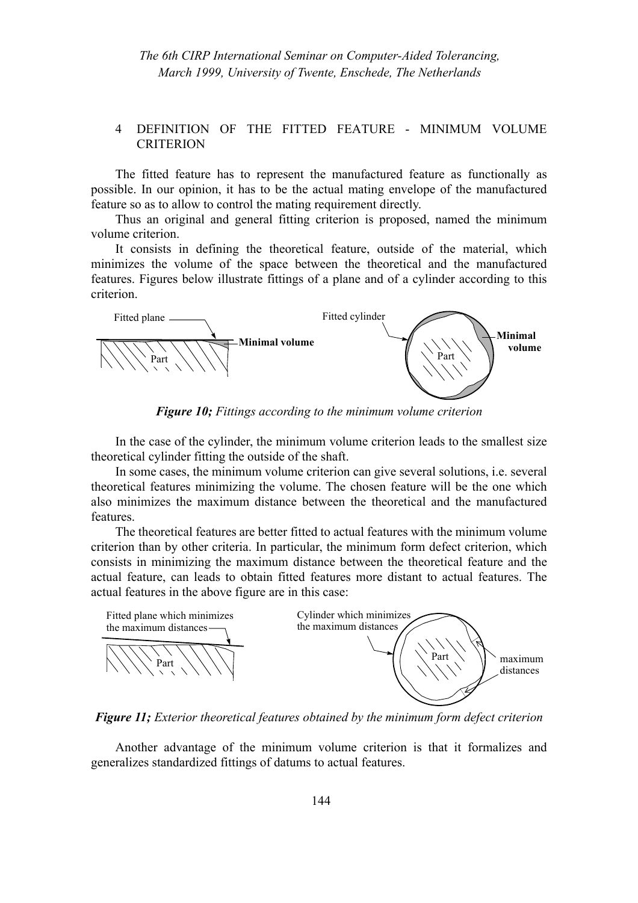# 4 DEFINITION OF THE FITTED FEATURE - MINIMUM VOLUME **CRITERION**

The fitted feature has to represent the manufactured feature as functionally as possible. In our opinion, it has to be the actual mating envelope of the manufactured feature so as to allow to control the mating requirement directly.

Thus an original and general fitting criterion is proposed, named the minimum volume criterion.

It consists in defining the theoretical feature, outside of the material, which minimizes the volume of the space between the theoretical and the manufactured features. Figures below illustrate fittings of a plane and of a cylinder according to this criterion.



*Figure 10; Fittings according to the minimum volume criterion*

In the case of the cylinder, the minimum volume criterion leads to the smallest size theoretical cylinder fitting the outside of the shaft.

In some cases, the minimum volume criterion can give several solutions, i.e. several theoretical features minimizing the volume. The chosen feature will be the one which also minimizes the maximum distance between the theoretical and the manufactured features.

The theoretical features are better fitted to actual features with the minimum volume criterion than by other criteria. In particular, the minimum form defect criterion, which consists in minimizing the maximum distance between the theoretical feature and the actual feature, can leads to obtain fitted features more distant to actual features. The actual features in the above figure are in this case:



*Figure 11; Exterior theoretical features obtained by the minimum form defect criterion*

Another advantage of the minimum volume criterion is that it formalizes and generalizes standardized fittings of datums to actual features.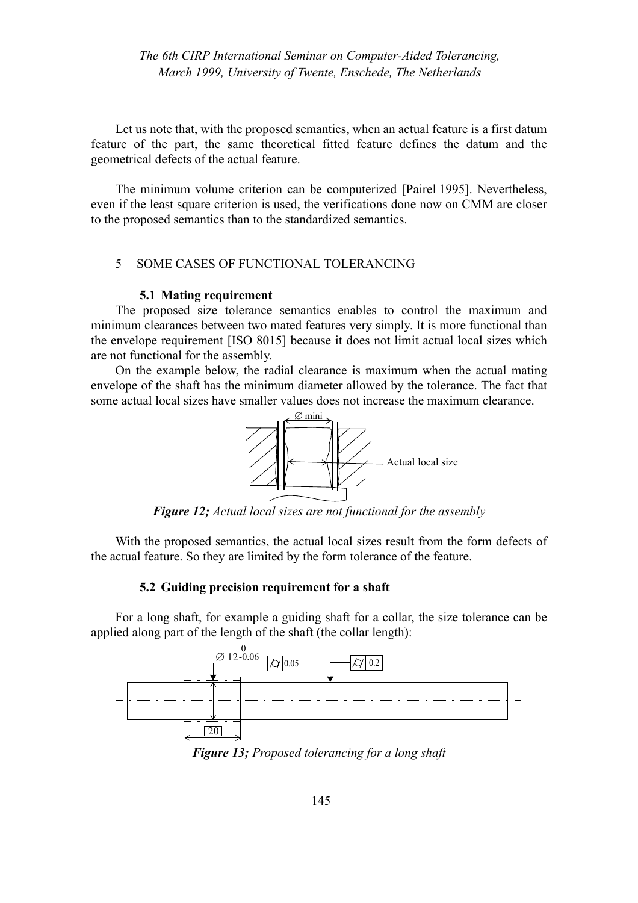Let us note that, with the proposed semantics, when an actual feature is a first datum feature of the part, the same theoretical fitted feature defines the datum and the geometrical defects of the actual feature.

The minimum volume criterion can be computerized [Pairel 1995]. Nevertheless, even if the least square criterion is used, the verifications done now on CMM are closer to the proposed semantics than to the standardized semantics.

# 5 SOME CASES OF FUNCTIONAL TOLERANCING

#### **5.1 Mating requirement**

The proposed size tolerance semantics enables to control the maximum and minimum clearances between two mated features very simply. It is more functional than the envelope requirement [ISO 8015] because it does not limit actual local sizes which are not functional for the assembly.

On the example below, the radial clearance is maximum when the actual mating envelope of the shaft has the minimum diameter allowed by the tolerance. The fact that some actual local sizes have smaller values does not increase the maximum clearance.



*Figure 12; Actual local sizes are not functional for the assembly*

With the proposed semantics, the actual local sizes result from the form defects of the actual feature. So they are limited by the form tolerance of the feature.

#### **5.2 Guiding precision requirement for a shaft**

For a long shaft, for example a guiding shaft for a collar, the size tolerance can be applied along part of the length of the shaft (the collar length):



<span id="page-7-0"></span>*Figure 13; Proposed tolerancing for a long shaft*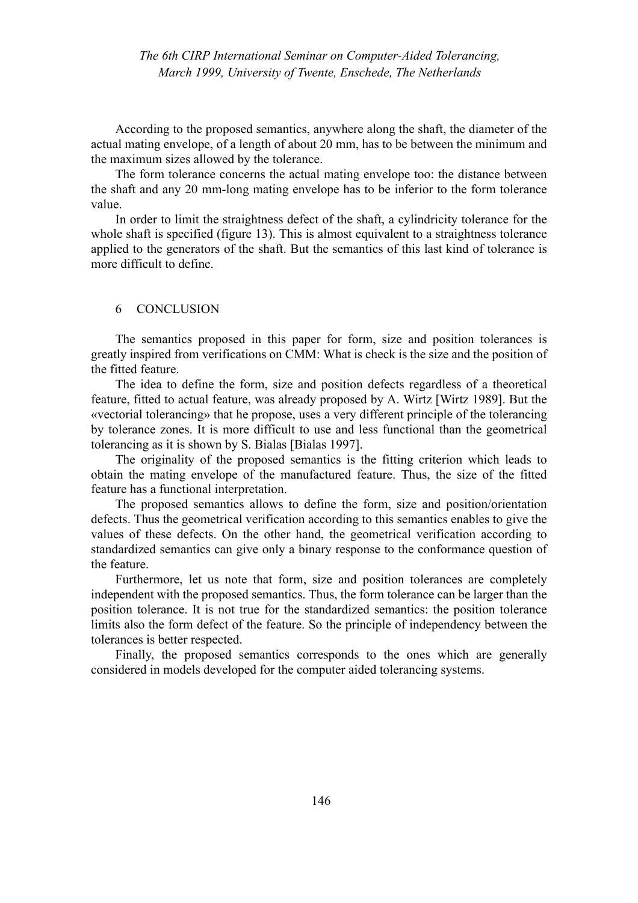According to the proposed semantics, anywhere along the shaft, the diameter of the actual mating envelope, of a length of about 20 mm, has to be between the minimum and the maximum sizes allowed by the tolerance.

The form tolerance concerns the actual mating envelope too: the distance between the shaft and any 20 mm-long mating envelope has to be inferior to the form tolerance value.

In order to limit the straightness defect of the shaft, a cylindricity tolerance for the whole shaft is specified [\(figure 13](#page-7-0)). This is almost equivalent to a straightness tolerance applied to the generators of the shaft. But the semantics of this last kind of tolerance is more difficult to define.

#### 6 CONCLUSION

The semantics proposed in this paper for form, size and position tolerances is greatly inspired from verifications on CMM: What is check is the size and the position of the fitted feature.

The idea to define the form, size and position defects regardless of a theoretical feature, fitted to actual feature, was already proposed by A. Wirtz [Wirtz 1989]. But the «vectorial tolerancing» that he propose, uses a very different principle of the tolerancing by tolerance zones. It is more difficult to use and less functional than the geometrical tolerancing as it is shown by S. Bialas [Bialas 1997].

The originality of the proposed semantics is the fitting criterion which leads to obtain the mating envelope of the manufactured feature. Thus, the size of the fitted feature has a functional interpretation.

The proposed semantics allows to define the form, size and position/orientation defects. Thus the geometrical verification according to this semantics enables to give the values of these defects. On the other hand, the geometrical verification according to standardized semantics can give only a binary response to the conformance question of the feature.

Furthermore, let us note that form, size and position tolerances are completely independent with the proposed semantics. Thus, the form tolerance can be larger than the position tolerance. It is not true for the standardized semantics: the position tolerance limits also the form defect of the feature. So the principle of independency between the tolerances is better respected.

Finally, the proposed semantics corresponds to the ones which are generally considered in models developed for the computer aided tolerancing systems.